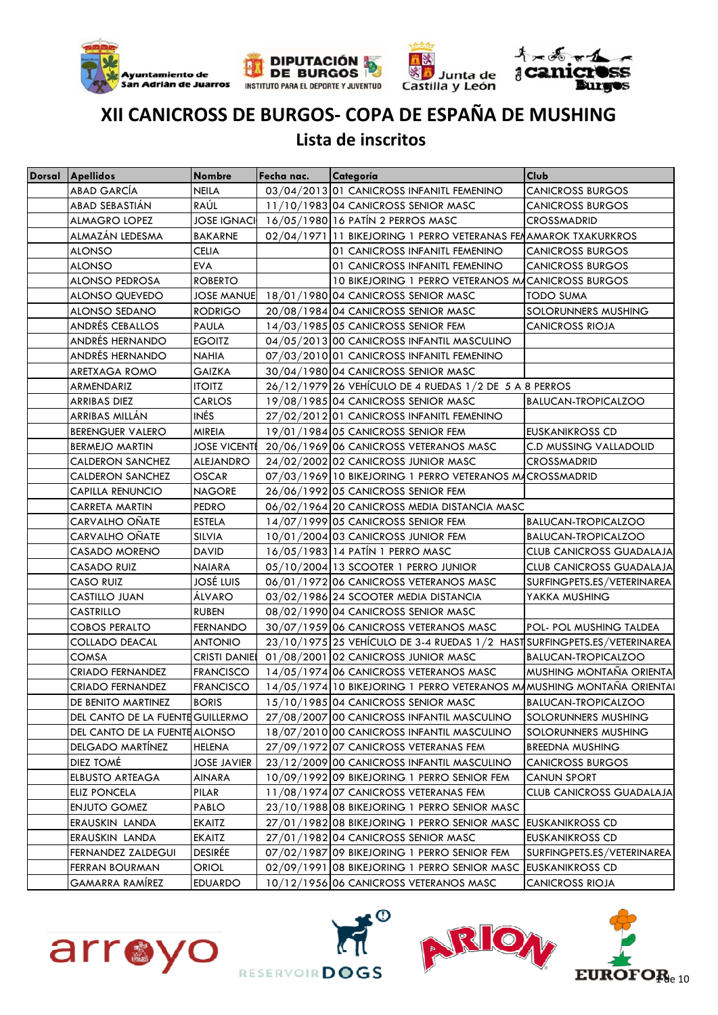







### **Lista de inscritos**

| Dorsal Apellidos                 | <b>Nombre</b>        | Fecha nac. | Categoría                                                                | <b>Club</b>                     |
|----------------------------------|----------------------|------------|--------------------------------------------------------------------------|---------------------------------|
| <b>ABAD GARCÍA</b>               | <b>NEILA</b>         |            | 03/04/2013 01 CANICROSS INFANITL FEMENINO                                | CANICROSS BURGOS                |
| ABAD SEBASTIÁN                   | RAÚL                 |            | 11/10/1983 04 CANICROSS SENIOR MASC                                      | <b>CANICROSS BURGOS</b>         |
| <b>ALMAGRO LOPEZ</b>             |                      |            | JOSE IGNACI 16/05/1980 16 PATÍN 2 PERROS MASC                            | <b>CROSSMADRID</b>              |
| ALMAZÁN LEDESMA                  | <b>BAKARNE</b>       |            | 02/04/1971 11 BIKEJORING 1 PERRO VETERANAS FENAMAROK TXAKURKROS          |                                 |
| <b>ALONSO</b>                    | <b>CELIA</b>         |            | 01 CANICROSS INFANITL FEMENINO                                           | <b>CANICROSS BURGOS</b>         |
| <b>ALONSO</b>                    | <b>EVA</b>           |            | 01 CANICROSS INFANITL FEMENINO                                           | <b>CANICROSS BURGOS</b>         |
| <b>ALONSO PEDROSA</b>            | <b>ROBERTO</b>       |            | 10 BIKEJORING 1 PERRO VETERANOS MACANICROSS BURGOS                       |                                 |
| ALONSO QUEVEDO                   |                      |            | JOSE MANUE 18/01/1980 04 CANICROSS SENIOR MASC                           | <b>TODO SUMA</b>                |
| ALONSO SEDANO                    | <b>RODRIGO</b>       |            | 20/08/1984 04 CANICROSS SENIOR MASC                                      | SOLORUNNERS MUSHING             |
| ANDRÉS CEBALLOS                  | <b>PAULA</b>         |            | 14/03/1985 05 CANICROSS SENIOR FEM                                       | <b>CANICROSS RIOJA</b>          |
| ANDRÉS HERNANDO                  | <b>EGOITZ</b>        |            | 04/05/2013 00 CANICROSS INFANTIL MASCULINO                               |                                 |
| ANDRÉS HERNANDO                  | NAHIA                |            | 07/03/2010 01 CANICROSS INFANITL FEMENINO                                |                                 |
| ARETXAGA ROMO                    | GAIZKA               |            | 30/04/1980 04 CANICROSS SENIOR MASC                                      |                                 |
| ARMENDARIZ                       | <b>ITOITZ</b>        |            | 26/12/1979 26 VEHÍCULO DE 4 RUEDAS 1/2 DE 5 A 8 PERROS                   |                                 |
| <b>ARRIBAS DIEZ</b>              | <b>CARLOS</b>        |            | 19/08/1985 04 CANICROSS SENIOR MASC                                      | <b>BALUCAN-TROPICALZOO</b>      |
| ARRIBAS MILLÁN                   | <b>INÉS</b>          |            | 27/02/2012 01 CANICROSS INFANITL FEMENINO                                |                                 |
| <b>BERENGUER VALERO</b>          | <b>MIREIA</b>        |            | 19/01/1984 05 CANICROSS SENIOR FEM                                       | EUSKANIKROSS CD                 |
| <b>BERMEJO MARTIN</b>            | <b>JOSE VICENTE</b>  |            | 20/06/1969 06 CANICROSS VETERANOS MASC                                   | <b>C.D MUSSING VALLADOLID</b>   |
| <b>CALDERON SANCHEZ</b>          | <b>ALEJANDRO</b>     |            | 24/02/2002 02 CANICROSS JUNIOR MASC                                      | <b>CROSSMADRID</b>              |
| <b>CALDERON SANCHEZ</b>          | <b>OSCAR</b>         |            | 07/03/1969 10 BIKEJORING 1 PERRO VETERANOS MACROSSMADRID                 |                                 |
| CAPILLA RENUNCIO                 | <b>NAGORE</b>        |            | 26/06/1992 05 CANICROSS SENIOR FEM                                       |                                 |
| CARRETA MARTIN                   | <b>PEDRO</b>         |            | 06/02/1964 20 CANICROSS MEDIA DISTANCIA MASC                             |                                 |
| CARVALHO OÑATE                   | <b>ESTELA</b>        |            | 14/07/1999 05 CANICROSS SENIOR FEM                                       | <b>BALUCAN-TROPICALZOO</b>      |
| CARVALHO OÑATE                   | <b>SILVIA</b>        |            | 10/01/2004 03 CANICROSS JUNIOR FEM                                       | <b>BALUCAN-TROPICALZOO</b>      |
| CASADO MORENO                    | DAVID                |            | 16/05/1983 14 PATÍN 1 PERRO MASC                                         | <b>CLUB CANICROSS GUADALAJA</b> |
| CASADO RUIZ                      | <b>NAIARA</b>        |            | 05/10/2004 13 SCOOTER 1 PERRO JUNIOR                                     | <b>CLUB CANICROSS GUADALAJA</b> |
| <b>CASO RUIZ</b>                 | <b>JOSÉ LUIS</b>     |            | 06/01/1972 06 CANICROSS VETERANOS MASC                                   | SURFINGPETS.ES/VETERINAREA      |
| CASTILLO JUAN                    | ÁLVARO               |            | 03/02/1986 24 SCOOTER MEDIA DISTANCIA                                    | YAKKA MUSHING                   |
| CASTRILLO                        | <b>RUBEN</b>         |            | 08/02/1990 04 CANICROSS SENIOR MASC                                      |                                 |
| <b>COBOS PERALTO</b>             | <b>FERNANDO</b>      |            | 30/07/1959 06 CANICROSS VETERANOS MASC                                   | POL- POL MUSHING TALDEA         |
| COLLADO DEACAL                   | <b>ANTONIO</b>       |            | 23/10/1975 25 VEHÍCULO DE 3-4 RUEDAS 1/2 HAST SURFINGPETS.ES/VETERINAREA |                                 |
| COMSA                            | <b>CRISTI DANIEL</b> |            | 01/08/2001 02 CANICROSS JUNIOR MASC                                      | <b>BALUCAN-TROPICALZOO</b>      |
| CRIADO FERNANDEZ                 | <b>FRANCISCO</b>     |            | 14/05/1974 06 CANICROSS VETERANOS MASC                                   | MUSHING MONTAÑA ORIENTA         |
| CRIADO FERNANDEZ                 | <b>FRANCISCO</b>     |            | 14/05/1974 10 BIKEJORING 1 PERRO VETERANOS MAMUSHING MONTAÑA ORIENTAI    |                                 |
| DE BENITO MARTINEZ               | <b>BORIS</b>         |            | 15/10/1985 04 CANICROSS SENIOR MASC                                      | <b>BALUCAN-TROPICALZOO</b>      |
| DEL CANTO DE LA FUENTE GUILLERMO |                      |            | 27/08/2007 00 CANICROSS INFANTIL MASCULINO                               | SOLORUNNERS MUSHING             |
| DEL CANTO DE LA FUENTE ALONSO    |                      |            | 18/07/2010 00 CANICROSS INFANTIL MASCULINO                               | SOLORUNNERS MUSHING             |
| DELGADO MARTÍNEZ                 | <b>HELENA</b>        |            | 27/09/1972 07 CANICROSS VETERANAS FEM                                    | <b>BREEDNA MUSHING</b>          |
| <b>DIEZ TOMÉ</b>                 | <b>JOSE JAVIER</b>   |            | 23/12/2009 00 CANICROSS INFANTIL MASCULINO                               | <b>CANICROSS BURGOS</b>         |
| <b>ELBUSTO ARTEAGA</b>           | AINARA               |            | 10/09/1992 09 BIKEJORING 1 PERRO SENIOR FEM                              | <b>CANUN SPORT</b>              |
| <b>ELIZ PONCELA</b>              | PILAR                |            | 11/08/1974 07 CANICROSS VETERANAS FEM                                    | <b>CLUB CANICROSS GUADALAJA</b> |
| <b>ENJUTO GOMEZ</b>              | PABLO                |            | 23/10/1988 08 BIKEJORING 1 PERRO SENIOR MASC                             |                                 |
| ERAUSKIN LANDA                   | <b>EKAITZ</b>        |            | 27/01/1982 08 BIKEJORING 1 PERRO SENIOR MASC EUSKANIKROSS CD             |                                 |
| ERAUSKIN LANDA                   | <b>EKAITZ</b>        |            | 27/01/1982 04 CANICROSS SENIOR MASC                                      | <b>EUSKANIKROSS CD</b>          |
| <b>FERNANDEZ ZALDEGUI</b>        | <b>DESIRÉE</b>       |            | 07/02/1987 09 BIKEJORING 1 PERRO SENIOR FEM                              | SURFINGPETS.ES/VETERINAREA      |
| <b>FERRAN BOURMAN</b>            | <b>ORIOL</b>         |            | 02/09/1991 08 BIKEJORING 1 PERRO SENIOR MASC EUSKANIKROSS CD             |                                 |
| <b>GAMARRA RAMÍREZ</b>           | <b>EDUARDO</b>       |            | 10/12/1956 06 CANICROSS VETERANOS MASC                                   | <b>CANICROSS RIOJA</b>          |







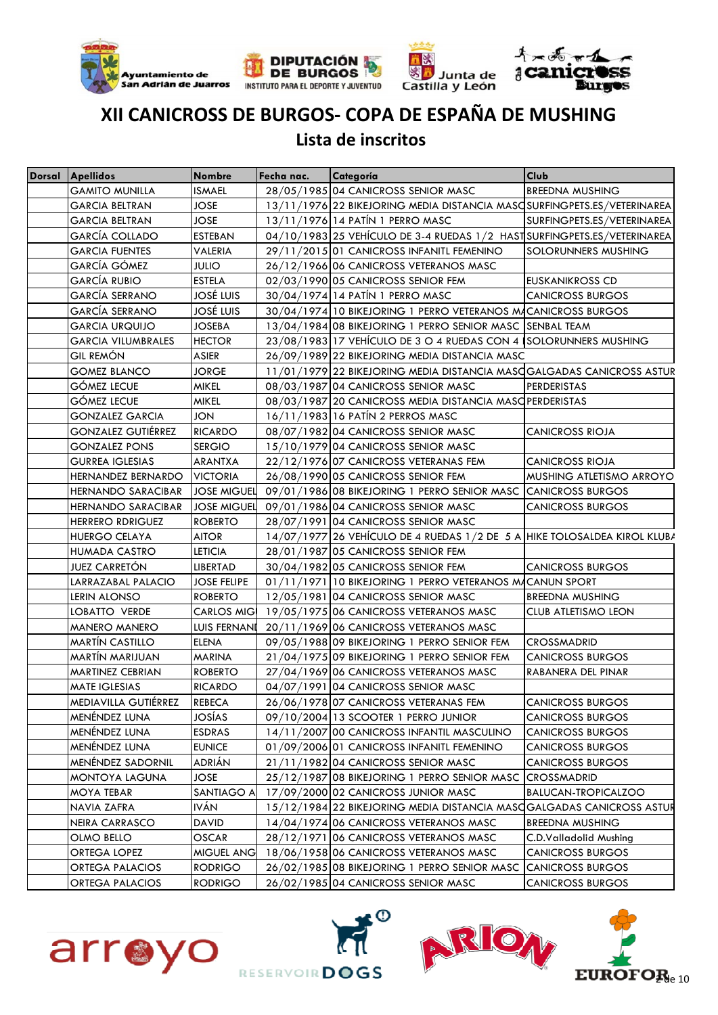







#### **Lista de inscritos**

| Dorsal Apellidos          | <b>Nombre</b>      | Fecha nac. | Categoría                                                                 | <b>Club</b>                |
|---------------------------|--------------------|------------|---------------------------------------------------------------------------|----------------------------|
| <b>GAMITO MUNILLA</b>     | <b>ISMAEL</b>      |            | 28/05/1985 04 CANICROSS SENIOR MASC                                       | <b>BREEDNA MUSHING</b>     |
| <b>GARCIA BELTRAN</b>     | JOSE.              |            | 13/11/1976 22 BIKEJORING MEDIA DISTANCIA MASC SURFINGPETS.ES/VETERINAREA  |                            |
| <b>GARCIA BELTRAN</b>     | <b>JOSE</b>        |            | 13/11/1976 14 PATÍN 1 PERRO MASC                                          | SURFINGPETS.ES/VETERINAREA |
| <b>GARCÍA COLLADO</b>     | <b>ESTEBAN</b>     |            | 04/10/1983 25 VEHÍCULO DE 3-4 RUEDAS 1/2 HAST SURFINGPETS.ES/VETERINAREA  |                            |
| <b>GARCIA FUENTES</b>     | <b>VALERIA</b>     |            | 29/11/2015 01 CANICROSS INFANITL FEMENINO                                 | SOLORUNNERS MUSHING        |
| GARCÍA GÓMEZ              | <b>JULIO</b>       |            | 26/12/1966 06 CANICROSS VETERANOS MASC                                    |                            |
| <b>GARCÍA RUBIO</b>       | <b>ESTELA</b>      |            | 02/03/1990 05 CANICROSS SENIOR FEM                                        | EUSKANIKROSS CD            |
| <b>GARCÍA SERRANO</b>     | <b>JOSÉ LUIS</b>   |            | 30/04/1974 14 PATÍN 1 PERRO MASC                                          | <b>CANICROSS BURGOS</b>    |
| <b>GARCÍA SERRANO</b>     | JOSÉ LUIS          |            | 30/04/1974 10 BIKEJORING 1 PERRO VETERANOS MACANICROSS BURGOS             |                            |
| <b>GARCIA URQUIJO</b>     | JOSEBA             |            | 13/04/1984 08 BIKEJORING 1 PERRO SENIOR MASC SENBAL TEAM                  |                            |
| <b>GARCIA VILUMBRALES</b> | <b>HECTOR</b>      |            | 23/08/1983 17 VEHÍCULO DE 3 O 4 RUEDAS CON 4 SOLORUNNERS MUSHING          |                            |
| <b>GIL REMÓN</b>          | ASIER              |            | 26/09/1989 22 BIKEJORING MEDIA DISTANCIA MASC                             |                            |
| <b>GOMEZ BLANCO</b>       | JORGE              |            | 11/01/1979 22 BIKEJORING MEDIA DISTANCIA MASCGALGADAS CANICROSS ASTUR     |                            |
| <b>GÓMEZ LECUE</b>        | MIKEL              |            | 08/03/1987 04 CANICROSS SENIOR MASC                                       | PERDERISTAS                |
| <b>GÓMEZ LECUE</b>        | <b>MIKEL</b>       |            | 08/03/1987 20 CANICROSS MEDIA DISTANCIA MASC PERDERISTAS                  |                            |
| <b>GONZALEZ GARCIA</b>    | <b>JON</b>         |            | 16/11/1983 16 PATÍN 2 PERROS MASC                                         |                            |
| <b>GONZALEZ GUTIÉRREZ</b> | <b>RICARDO</b>     |            | 08/07/1982 04 CANICROSS SENIOR MASC                                       | <b>CANICROSS RIOJA</b>     |
| <b>GONZALEZ PONS</b>      | <b>SERGIO</b>      |            | 15/10/1979 04 CANICROSS SENIOR MASC                                       |                            |
| <b>GURREA IGLESIAS</b>    | ARANTXA            |            | 22/12/1976 07 CANICROSS VETERANAS FEM                                     | <b>CANICROSS RIOJA</b>     |
| HERNANDEZ BERNARDO        | <b>VICTORIA</b>    |            | 26/08/1990 05 CANICROSS SENIOR FEM                                        | MUSHING ATLETISMO ARROYO   |
| <b>HERNANDO SARACIBAR</b> | <b>JOSE MIGUEL</b> |            | 09/01/1986 08 BIKEJORING 1 PERRO SENIOR MASC CANICROSS BURGOS             |                            |
| <b>HERNANDO SARACIBAR</b> | <b>JOSE MIGUEL</b> |            | 09/01/1986 04 CANICROSS SENIOR MASC                                       | <b>CANICROSS BURGOS</b>    |
| <b>HERRERO RDRIGUEZ</b>   | <b>ROBERTO</b>     |            | 28/07/1991 04 CANICROSS SENIOR MASC                                       |                            |
| <b>HUERGO CELAYA</b>      | <b>AITOR</b>       |            | 14/07/1977 26 VEHÍCULO DE 4 RUEDAS 1/2 DE 5 A HIKE TOLOSALDEA KIROL KLUBA |                            |
| <b>HUMADA CASTRO</b>      | LETICIA            |            | 28/01/1987 05 CANICROSS SENIOR FEM                                        |                            |
| <b>JUEZ CARRETON</b>      | LIBERTAD           |            | 30/04/1982 05 CANICROSS SENIOR FEM                                        | <b>CANICROSS BURGOS</b>    |
| LARRAZABAL PALACIO        | <b>JOSE FELIPE</b> |            | 01/11/1971 10 BIKEJORING 1 PERRO VETERANOS MACANUN SPORT                  |                            |
| LERIN ALONSO              | <b>ROBERTO</b>     |            | 12/05/1981 04 CANICROSS SENIOR MASC                                       | <b>BREEDNA MUSHING</b>     |
| LOBATTO VERDE             |                    |            | CARLOS MIG 19/05/1975 06 CANICROSS VETERANOS MASC                         | CLUB ATLETISMO LEON        |
| <b>MANERO MANERO</b>      | LUIS FERNANI       |            | 20/11/1969 06 CANICROSS VETERANOS MASC                                    |                            |
| <b>MARTÍN CASTILLO</b>    | <b>ELENA</b>       |            | 09/05/1988 09 BIKEJORING 1 PERRO SENIOR FEM                               | <b>CROSSMADRID</b>         |
| MARTÍN MARIJUAN           | <b>MARINA</b>      |            | 21/04/1975 09 BIKEJORING 1 PERRO SENIOR FEM                               | <b>CANICROSS BURGOS</b>    |
| <b>MARTINEZ CEBRIAN</b>   | <b>ROBERTO</b>     |            | 27/04/1969 06 CANICROSS VETERANOS MASC                                    | RABANERA DEL PINAR         |
| MATE IGLESIAS             | <b>RICARDO</b>     |            | 04/07/1991 04 CANICROSS SENIOR MASC                                       |                            |
| MEDIAVILLA GUTIÉRREZ      | <b>REBECA</b>      |            | 26/06/1978 07 CANICROSS VETERANAS FEM                                     | <b>CANICROSS BURGOS</b>    |
| MENÉNDEZ LUNA             | JOSÍAS             |            | 09/10/2004 13 SCOOTER 1 PERRO JUNIOR                                      | <b>CANICROSS BURGOS</b>    |
| MENÉNDEZ LUNA             | <b>ESDRAS</b>      |            | 14/11/2007 00 CANICROSS INFANTIL MASCULINO                                | <b>CANICROSS BURGOS</b>    |
| MENÉNDEZ LUNA             | <b>EUNICE</b>      |            | 01/09/2006 01 CANICROSS INFANITL FEMENINO                                 | <b>CANICROSS BURGOS</b>    |
| MENÉNDEZ SADORNIL         | ADRIÁN             |            | 21/11/1982 04 CANICROSS SENIOR MASC                                       | <b>CANICROSS BURGOS</b>    |
| MONTOYA LAGUNA            | JOSE               |            | 25/12/1987 08 BIKEJORING 1 PERRO SENIOR MASC                              | <b>CROSSMADRID</b>         |
| MOYA TEBAR                | SANTIAGO A         |            | 17/09/2000 02 CANICROSS JUNIOR MASC                                       | <b>BALUCAN-TROPICALZOO</b> |
| NAVIA ZAFRA               | IVÁN               |            | 15/12/1984 22 BIKEJORING MEDIA DISTANCIA MASCGALGADAS CANICROSS ASTUR     |                            |
| NEIRA CARRASCO            | DAVID              |            | 14/04/1974 06 CANICROSS VETERANOS MASC                                    | <b>BREEDNA MUSHING</b>     |
| OLMO BELLO                | <b>OSCAR</b>       |            | 28/12/1971 06 CANICROSS VETERANOS MASC                                    | C.D.Valladolid Mushing     |
| ORTEGA LOPEZ              | <b>MIGUEL ANG</b>  |            | 18/06/1958 06 CANICROSS VETERANOS MASC                                    | <b>CANICROSS BURGOS</b>    |
| <b>ORTEGA PALACIOS</b>    | <b>RODRIGO</b>     |            | 26/02/1985 08 BIKEJORING 1 PERRO SENIOR MASC                              | <b>CANICROSS BURGOS</b>    |
| ORTEGA PALACIOS           | <b>RODRIGO</b>     |            | 26/02/1985 04 CANICROSS SENIOR MASC                                       | <b>CANICROSS BURGOS</b>    |







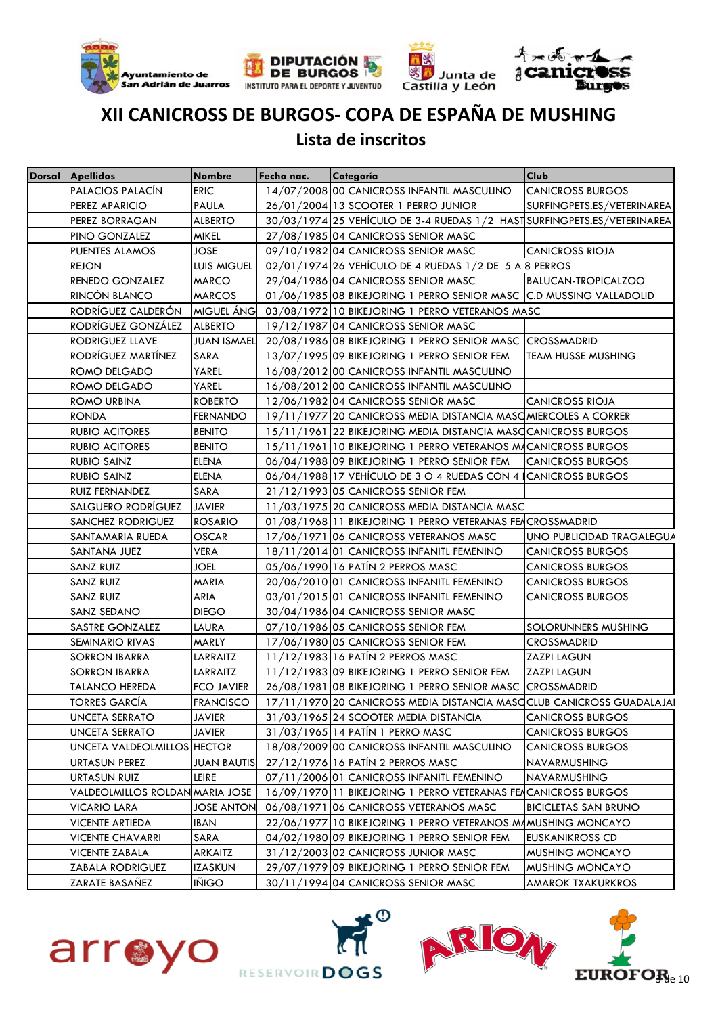







#### **Lista de inscritos**

| <b>Dorsal Apellidos</b>         | <b>Nombre</b>      | Fecha nac. | Categoría                                                                | <b>Club</b>                |
|---------------------------------|--------------------|------------|--------------------------------------------------------------------------|----------------------------|
| PALACIOS PALACÍN                | <b>ERIC</b>        |            | 14/07/2008 00 CANICROSS INFANTIL MASCULINO                               | <b>CANICROSS BURGOS</b>    |
| PEREZ APARICIO                  | <b>PAULA</b>       |            | 26/01/2004 13 SCOOTER 1 PERRO JUNIOR                                     | SURFINGPETS.ES/VETERINAREA |
| PEREZ BORRAGAN                  | <b>ALBERTO</b>     |            | 30/03/1974 25 VEHÍCULO DE 3-4 RUEDAS 1/2 HAST SURFINGPETS.ES/VETERINAREA |                            |
| PINO GONZALEZ                   | <b>MIKEL</b>       |            | 27/08/1985 04 CANICROSS SENIOR MASC                                      |                            |
| PUENTES ALAMOS                  | <b>JOSE</b>        |            | 09/10/1982 04 CANICROSS SENIOR MASC                                      | <b>CANICROSS RIOJA</b>     |
| <b>REJON</b>                    | LUIS MIGUEL        |            | 02/01/1974 26 VEHÍCULO DE 4 RUEDAS 1/2 DE 5 A 8 PERROS                   |                            |
| RENEDO GONZALEZ                 | MARCO              |            | 29/04/1986 04 CANICROSS SENIOR MASC                                      | <b>BALUCAN-TROPICALZOO</b> |
| RINCÓN BLANCO                   | <b>MARCOS</b>      |            | 01/06/1985 08 BIKEJORING 1 PERRO SENIOR MASC C.D MUSSING VALLADOLID      |                            |
| RODRÍGUEZ CALDERÓN              | MIGUEL ÁNG         |            | 03/08/1972 10 BIKEJORING 1 PERRO VETERANOS MASC                          |                            |
| RODRÍGUEZ GONZÁLEZ              | <b>ALBERTO</b>     |            | 19/12/1987 04 CANICROSS SENIOR MASC                                      |                            |
| RODRIGUEZ LLAVE                 | <b>JUAN ISMAEL</b> |            | 20/08/1986 08 BIKEJORING 1 PERRO SENIOR MASC CROSSMADRID                 |                            |
| RODRÍGUEZ MARTÍNEZ              | SARA               |            | 13/07/1995 09 BIKEJORING 1 PERRO SENIOR FEM                              | <b>TEAM HUSSE MUSHING</b>  |
| ROMO DELGADO                    | YAREL              |            | 16/08/2012 00 CANICROSS INFANTIL MASCULINO                               |                            |
| ROMO DELGADO                    | YAREL              |            | 16/08/2012 00 CANICROSS INFANTIL MASCULINO                               |                            |
| ROMO URBINA                     | <b>ROBERTO</b>     |            | 12/06/1982 04 CANICROSS SENIOR MASC                                      | <b>CANICROSS RIOJA</b>     |
| <b>RONDA</b>                    | <b>FERNANDO</b>    |            | 19/11/1977 20 CANICROSS MEDIA DISTANCIA MASC MIERCOLES A CORRER          |                            |
| <b>RUBIO ACITORES</b>           | <b>BENITO</b>      |            | 15/11/1961 22 BIKEJORING MEDIA DISTANCIA MASCCANICROSS BURGOS            |                            |
| <b>RUBIO ACITORES</b>           | <b>BENITO</b>      |            | 15/11/1961 10 BIKEJORING 1 PERRO VETERANOS MACANICROSS BURGOS            |                            |
| <b>RUBIO SAINZ</b>              | ELENA              |            | 06/04/1988 09 BIKEJORING 1 PERRO SENIOR FEM                              | <b>CANICROSS BURGOS</b>    |
| <b>RUBIO SAINZ</b>              | <b>ELENA</b>       |            | 06/04/1988 17 VEHÍCULO DE 3 O 4 RUEDAS CON 4 CANICROSS BURGOS            |                            |
| <b>RUIZ FERNANDEZ</b>           | SARA               |            | 21/12/1993 05 CANICROSS SENIOR FEM                                       |                            |
| SALGUERO RODRÍGUEZ              | <b>JAVIER</b>      |            | 11/03/1975 20 CANICROSS MEDIA DISTANCIA MASC                             |                            |
| <b>SANCHEZ RODRIGUEZ</b>        | <b>ROSARIO</b>     |            | 01/08/1968 11 BIKEJORING 1 PERRO VETERANAS FEACROSSMADRID                |                            |
| SANTAMARIA RUEDA                | <b>OSCAR</b>       |            | 17/06/1971 06 CANICROSS VETERANOS MASC                                   | UNO PUBLICIDAD TRAGALEGUA  |
| SANTANA JUEZ                    | VERA               |            | 18/11/2014 01 CANICROSS INFANITL FEMENINO                                | <b>CANICROSS BURGOS</b>    |
| SANZ RUIZ                       | JOEL               |            | 05/06/1990 16 PATIN 2 PERROS MASC                                        | <b>CANICROSS BURGOS</b>    |
| <b>SANZ RUIZ</b>                | <b>MARIA</b>       |            | 20/06/2010 01 CANICROSS INFANITL FEMENINO                                | <b>CANICROSS BURGOS</b>    |
| <b>SANZ RUIZ</b>                | ARIA               |            | 03/01/2015 01 CANICROSS INFANITL FEMENINO                                | <b>CANICROSS BURGOS</b>    |
| SANZ SEDANO                     | <b>DIEGO</b>       |            | 30/04/1986 04 CANICROSS SENIOR MASC                                      |                            |
| SASTRE GONZALEZ                 | LAURA              |            | 07/10/1986 05 CANICROSS SENIOR FEM                                       | SOLORUNNERS MUSHING        |
| <b>SEMINARIO RIVAS</b>          | MARLY              |            | 17/06/1980 05 CANICROSS SENIOR FEM                                       | CROSSMADRID                |
| <b>SORRON IBARRA</b>            | LARRAITZ           |            | 11/12/1983 16 PATIN 2 PERROS MASC                                        | <b>ZAZPI LAGUN</b>         |
| <b>SORRON IBARRA</b>            | LARRAITZ           |            | 11/12/1983 09 BIKEJORING 1 PERRO SENIOR FEM                              | <b>ZAZPI LAGUN</b>         |
| <b>TALANCO HEREDA</b>           | <b>FCO JAVIER</b>  |            | 26/08/1981 08 BIKEJORING 1 PERRO SENIOR MASC CROSSMADRID                 |                            |
| <b>TORRES GARCÍA</b>            | <b>FRANCISCO</b>   |            | 17/11/1970 20 CANICROSS MEDIA DISTANCIA MASC CLUB CANICROSS GUADALAJAI   |                            |
| <b>UNCETA SERRATO</b>           | <b>JAVIER</b>      |            | 31/03/1965 24 SCOOTER MEDIA DISTANCIA                                    | <b>CANICROSS BURGOS</b>    |
| UNCETA SERRATO                  | JAVIER             |            | 31/03/1965 14 PATIN 1 PERRO MASC                                         | <b>CANICROSS BURGOS</b>    |
| UNCETA VALDEOLMILLOS HECTOR     |                    |            | 18/08/2009 00 CANICROSS INFANTIL MASCULINO                               | <b>CANICROSS BURGOS</b>    |
| URTASUN PEREZ                   | <b>JUAN BAUTIS</b> |            | 27/12/1976 16 PATÍN 2 PERROS MASC                                        | NAVARMUSHING               |
| URTASUN RUIZ                    | LEIRE              |            | 07/11/2006 01 CANICROSS INFANITL FEMENINO                                | NAVARMUSHING               |
| VALDEOLMILLOS ROLDAN MARIA JOSE |                    |            | 16/09/1970 11 BIKEJORING 1 PERRO VETERANAS FEACANICROSS BURGOS           |                            |
| <b>VICARIO LARA</b>             | <b>JOSE ANTON</b>  |            | 06/08/1971 06 CANICROSS VETERANOS MASC                                   | BICICLETAS SAN BRUNO       |
| <b>VICENTE ARTIEDA</b>          | IBAN               |            | 22/06/1977 10 BIKEJORING 1 PERRO VETERANOS MAMUSHING MONCAYO             |                            |
| <b>VICENTE CHAVARRI</b>         | SARA               |            | 04/02/1980 09 BIKEJORING 1 PERRO SENIOR FEM                              | EUSKANIKROSS CD            |
| <b>VICENTE ZABALA</b>           | ARKAITZ            |            | 31/12/2003 02 CANICROSS JUNIOR MASC                                      | MUSHING MONCAYO            |
| <b>ZABALA RODRIGUEZ</b>         | <b>IZASKUN</b>     |            | 29/07/1979 09 BIKEJORING 1 PERRO SENIOR FEM                              | MUSHING MONCAYO            |
| ZARATE BASAÑEZ                  | <b>INIGO</b>       |            | 30/11/1994 04 CANICROSS SENIOR MASC                                      | AMAROK TXAKURKROS          |